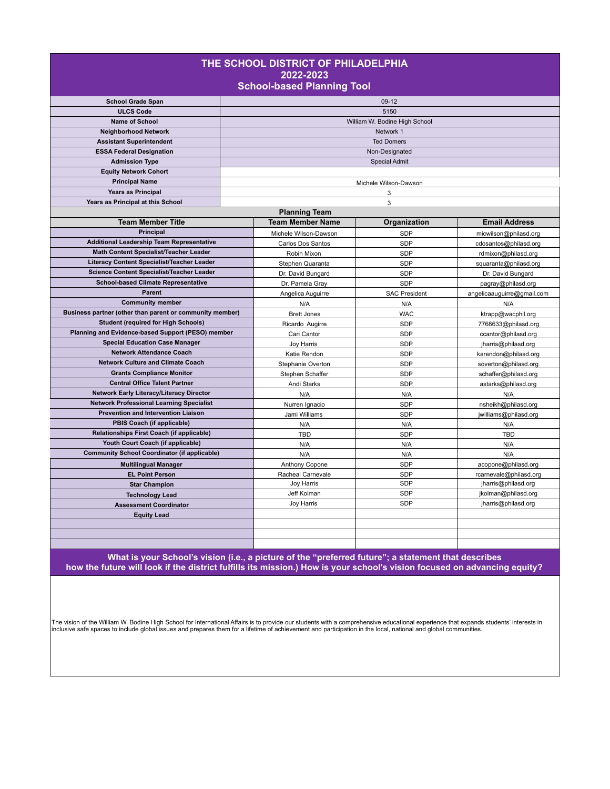| THE SCHOOL DISTRICT OF PHILADELPHIA<br>2022-2023<br><b>School-based Planning Tool</b> |                                                |                               |                                               |  |  |  |  |
|---------------------------------------------------------------------------------------|------------------------------------------------|-------------------------------|-----------------------------------------------|--|--|--|--|
| <b>School Grade Span</b>                                                              |                                                | $09-12$                       |                                               |  |  |  |  |
| <b>ULCS Code</b>                                                                      |                                                | 5150                          |                                               |  |  |  |  |
| Name of School                                                                        |                                                | William W. Bodine High School |                                               |  |  |  |  |
| <b>Neighborhood Network</b>                                                           |                                                | Network 1                     |                                               |  |  |  |  |
| <b>Assistant Superintendent</b>                                                       |                                                | <b>Ted Domers</b>             |                                               |  |  |  |  |
| <b>ESSA Federal Designation</b>                                                       |                                                | Non-Designated                |                                               |  |  |  |  |
| <b>Admission Type</b>                                                                 |                                                | <b>Special Admit</b>          |                                               |  |  |  |  |
| <b>Equity Network Cohort</b>                                                          |                                                |                               |                                               |  |  |  |  |
| <b>Principal Name</b>                                                                 |                                                | Michele Wilson-Dawson         |                                               |  |  |  |  |
| <b>Years as Principal</b>                                                             |                                                | 3                             |                                               |  |  |  |  |
| Years as Principal at this School                                                     |                                                | 3                             |                                               |  |  |  |  |
|                                                                                       | <b>Planning Team</b>                           |                               |                                               |  |  |  |  |
| <b>Team Member Title</b>                                                              | <b>Team Member Name</b>                        | Organization                  | <b>Email Address</b>                          |  |  |  |  |
| <b>Principal</b>                                                                      | Michele Wilson-Dawson                          | <b>SDP</b>                    | micwilson@philasd.org                         |  |  |  |  |
| <b>Additional Leadership Team Representative</b>                                      | Carlos Dos Santos                              | SDP                           | cdosantos@philasd.org                         |  |  |  |  |
| Math Content Specialist/Teacher Leader                                                | Robin Mixon                                    | <b>SDP</b>                    | rdmixon@philasd.org                           |  |  |  |  |
| Literacy Content Specialist/Teacher Leader                                            | Stephen Quaranta                               | SDP                           | squaranta@philasd.org                         |  |  |  |  |
| <b>Science Content Specialist/Teacher Leader</b>                                      | Dr. David Bungard                              | <b>SDP</b>                    | Dr. David Bungard                             |  |  |  |  |
| <b>School-based Climate Representative</b>                                            | Dr. Pamela Gray                                | SDP                           | pagray@philasd.org                            |  |  |  |  |
| <b>Parent</b>                                                                         | Angelica Auguirre                              | <b>SAC President</b>          | angelicaauguirre@gmail.com                    |  |  |  |  |
| <b>Community member</b>                                                               | N/A                                            | N/A                           | N/A                                           |  |  |  |  |
| Business partner (other than parent or community member)                              | <b>Brett Jones</b>                             | <b>WAC</b>                    | ktrapp@wacphil.org                            |  |  |  |  |
| <b>Student (required for High Schools)</b>                                            | Ricardo Augirre                                | <b>SDP</b>                    | 7768633@philasd.org                           |  |  |  |  |
| Planning and Evidence-based Support (PESO) member                                     | Cari Cantor                                    | <b>SDP</b>                    | ccantor@philasd.org                           |  |  |  |  |
| <b>Special Education Case Manager</b>                                                 | Joy Harris                                     | SDP                           | jharris@philasd.org                           |  |  |  |  |
| <b>Network Attendance Coach</b>                                                       | Katie Rendon                                   | <b>SDP</b>                    | karendon@philasd.org                          |  |  |  |  |
| <b>Network Culture and Climate Coach</b>                                              | Stephanie Overton                              | SDP                           | soverton@philasd.org                          |  |  |  |  |
| <b>Grants Compliance Monitor</b>                                                      | Stephen Schaffer                               | <b>SDP</b>                    | schaffer@philasd.org                          |  |  |  |  |
| <b>Central Office Talent Partner</b>                                                  | Andi Starks                                    | <b>SDP</b>                    | astarks@philasd.org                           |  |  |  |  |
| Network Early Literacy/Literacy Director                                              | N/A                                            | N/A                           | N/A                                           |  |  |  |  |
| <b>Network Professional Learning Specialist</b>                                       | Nurren Ignacio                                 | <b>SDP</b>                    | nsheikh@philasd.org                           |  |  |  |  |
| Prevention and Intervention Liaison<br>PBIS Coach (if applicable)                     | Jami Williams                                  | <b>SDP</b>                    | jwilliams@philasd.org                         |  |  |  |  |
| Relationships First Coach (if applicable)                                             | N/A                                            | N/A                           | N/A                                           |  |  |  |  |
| Youth Court Coach (if applicable)                                                     | TBD                                            | <b>SDP</b>                    | <b>TBD</b>                                    |  |  |  |  |
| <b>Community School Coordinator (if applicable)</b>                                   | N/A                                            | N/A                           | N/A                                           |  |  |  |  |
|                                                                                       | N/A                                            | N/A                           | N/A                                           |  |  |  |  |
| <b>Multilingual Manager</b>                                                           | Anthony Copone                                 | <b>SDP</b>                    | acopone@philasd.org                           |  |  |  |  |
| <b>EL Point Person</b>                                                                | Racheal Carnevale                              | SDP<br><b>SDP</b>             | rcarnevale@philasd.org<br>jharris@philasd.org |  |  |  |  |
| <b>Star Champion</b>                                                                  | <b>Joy Harris</b><br>Jeff Kolman<br><b>SDP</b> |                               |                                               |  |  |  |  |
| <b>Technology Lead</b>                                                                | Joy Harris                                     | <b>SDP</b>                    | jkolman@philasd.org<br>jharris@philasd.org    |  |  |  |  |
| <b>Assessment Coordinator</b>                                                         |                                                |                               |                                               |  |  |  |  |
| <b>Equity Lead</b>                                                                    |                                                |                               |                                               |  |  |  |  |
|                                                                                       |                                                |                               |                                               |  |  |  |  |
|                                                                                       |                                                |                               |                                               |  |  |  |  |

**What is your School's vision (i.e., a picture of the "preferred future"; a statement that describes how the future will look if the district fulfills its mission.) How is your school's vision focused on advancing equity?**

The vision of the William W. Bodine High School for International Affairs is to provide our students with a comprehensive educational experience that expands students' interests in<br>inclusive safe spaces to include global i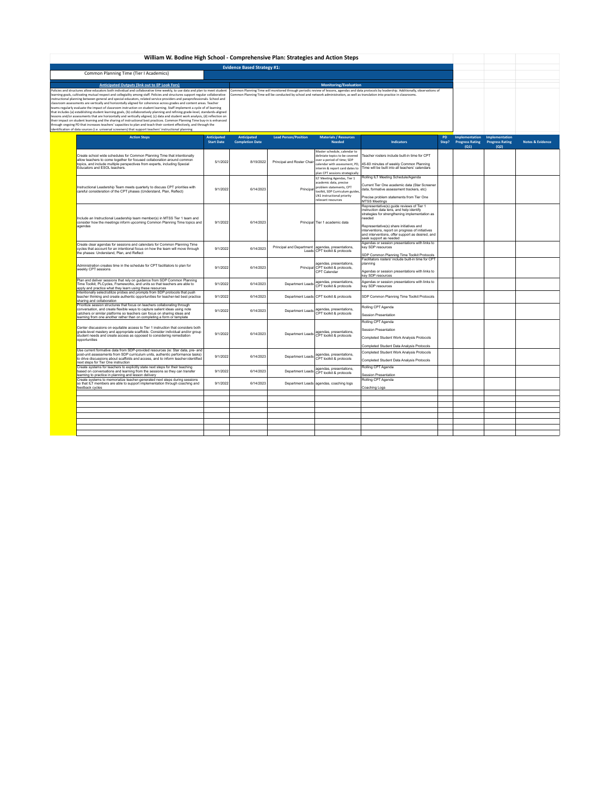| William W. Bodine High School - Comprehensive Plan: Strategies and Action Steps                                                                                                                                                                                                                                                                                                                                                                                                                                                                                                                                                                                                                                                                                                                                                                                                                                                                                                                                                                                                                                                                                                                                                                                                    |                                         |                                                                                                                                                                                                                                                                                    |                                                  |                                                                                                                                                                                                   |                                                                                                                                                                                                                                                                                                                                |                    |                                                  |                                                  |                             |
|------------------------------------------------------------------------------------------------------------------------------------------------------------------------------------------------------------------------------------------------------------------------------------------------------------------------------------------------------------------------------------------------------------------------------------------------------------------------------------------------------------------------------------------------------------------------------------------------------------------------------------------------------------------------------------------------------------------------------------------------------------------------------------------------------------------------------------------------------------------------------------------------------------------------------------------------------------------------------------------------------------------------------------------------------------------------------------------------------------------------------------------------------------------------------------------------------------------------------------------------------------------------------------|-----------------------------------------|------------------------------------------------------------------------------------------------------------------------------------------------------------------------------------------------------------------------------------------------------------------------------------|--------------------------------------------------|---------------------------------------------------------------------------------------------------------------------------------------------------------------------------------------------------|--------------------------------------------------------------------------------------------------------------------------------------------------------------------------------------------------------------------------------------------------------------------------------------------------------------------------------|--------------------|--------------------------------------------------|--------------------------------------------------|-----------------------------|
|                                                                                                                                                                                                                                                                                                                                                                                                                                                                                                                                                                                                                                                                                                                                                                                                                                                                                                                                                                                                                                                                                                                                                                                                                                                                                    |                                         | <b>Evidence Based Strategy #1:</b>                                                                                                                                                                                                                                                 |                                                  |                                                                                                                                                                                                   |                                                                                                                                                                                                                                                                                                                                |                    |                                                  |                                                  |                             |
| Common Planning Time (Tier I Academics)                                                                                                                                                                                                                                                                                                                                                                                                                                                                                                                                                                                                                                                                                                                                                                                                                                                                                                                                                                                                                                                                                                                                                                                                                                            |                                         |                                                                                                                                                                                                                                                                                    |                                                  |                                                                                                                                                                                                   |                                                                                                                                                                                                                                                                                                                                |                    |                                                  |                                                  |                             |
| <b>Anticipated Outputs (link out to EP Look Fors)</b>                                                                                                                                                                                                                                                                                                                                                                                                                                                                                                                                                                                                                                                                                                                                                                                                                                                                                                                                                                                                                                                                                                                                                                                                                              |                                         |                                                                                                                                                                                                                                                                                    |                                                  | <b>Monitoring/Evaluation</b>                                                                                                                                                                      |                                                                                                                                                                                                                                                                                                                                |                    |                                                  |                                                  |                             |
| Policies and structures allow educators both individual and collaborative time weekly, to use data and plan to meet student<br>learning goals, cultivating mutual respect and collegiality among staff. Policies and structures support regular collaborative<br>instructional planning between general and special educators, related service providers and paraprofessionals. School and<br>classroom assessments are vertically and horizontally aligned for coherence across grades and content areas. Teacher<br>teams regularly evaluate the impact of classroom instruction on student learning. Staff implement a cycle of of learning<br>that includes (a) establishing student learning goals, (b) collaboratively planning and refining grade-level, standards-aligned<br>lessons and/or assessments that are horizontally and vertically aligned, (c) data and student work analysis, (d) reflection on<br>their impact on student learning and the sharing of instructional best practices. Common Planning Time buy-in is enhanced<br>through ongoing PD that increases teachers' capacities to plan and teach their content effectively, and through the<br>identification of data sources (i.e. universal screeners) that support teachers' instructional planning |                                         | Common Planning Time will monitored through periodic review of lessons, agendas and data protocols by leadership. Additionally, observations of<br>Common Planning Time will be conducted by school and network administration, as well as translation into practice in classrooms |                                                  |                                                                                                                                                                                                   |                                                                                                                                                                                                                                                                                                                                |                    |                                                  |                                                  |                             |
| <b>Action Steps</b>                                                                                                                                                                                                                                                                                                                                                                                                                                                                                                                                                                                                                                                                                                                                                                                                                                                                                                                                                                                                                                                                                                                                                                                                                                                                | <b>Anticipated</b><br><b>Start Date</b> | Anticipated<br><b>Completion Date</b>                                                                                                                                                                                                                                              | <b>Lead Person/Position</b>                      | <b>Materials / Resources</b><br><b>Needed</b>                                                                                                                                                     | <b>Indicators</b>                                                                                                                                                                                                                                                                                                              | <b>PD</b><br>Step? | Implementation<br><b>Progress Rating</b><br>(Q1) | Implementation<br><b>Progress Rating</b><br>(Q2) | <b>Notes &amp; Evidence</b> |
| Create school wide schedules for Common Planning Time that intentionally<br>allow teachers to come together for focused collaboration around common<br>topics, and include multiple perspectives from experts, including Special<br>Educators and ESOL teachers.                                                                                                                                                                                                                                                                                                                                                                                                                                                                                                                                                                                                                                                                                                                                                                                                                                                                                                                                                                                                                   | 5/1/2022                                | 8/19/2022                                                                                                                                                                                                                                                                          | Principal and Roster Chair                       | Master schedule calendar to<br>deliniate topics to be covered<br>over a period of time; SDP<br>calendar with assessment. PD.<br>interim & report card dates to<br>olan CPT sessions strategically | Teacher rosters include built-in time for CPT<br>45-60 minutes of weekly Common Planning<br>Time will be built into all teachers' calendars                                                                                                                                                                                    |                    |                                                  |                                                  |                             |
| Instructional Leadership Team meets quarterly to discuss CPT priorities with<br>careful consideration of the CPT phases (Understand, Plan, Reflect)                                                                                                                                                                                                                                                                                                                                                                                                                                                                                                                                                                                                                                                                                                                                                                                                                                                                                                                                                                                                                                                                                                                                | 9/1/2022                                | 6/14/2023                                                                                                                                                                                                                                                                          | Principal                                        | ILT Meeting Agendas, Tier 1<br>academic data, precise<br>problem statements, CPT<br>toolkit, SDP Curriculum guides<br>LN1 instructional priority<br>relevant resources                            | Rolling ILT Meeting Schedule/Agenda<br>Current Tier One academic data (Star Screener<br>data, formative assessment trackers, etc)<br>Precise problem statements from Tier One<br>MTSS Meetings                                                                                                                                 |                    |                                                  |                                                  |                             |
| Include an Instructional Leadership team member(s) in MTSS Tier 1 team and<br>consider how the meetings inform upcoming Common Planning Time topics and<br>agendas                                                                                                                                                                                                                                                                                                                                                                                                                                                                                                                                                                                                                                                                                                                                                                                                                                                                                                                                                                                                                                                                                                                 | 9/1/2022                                | 6/14/2023                                                                                                                                                                                                                                                                          |                                                  | Principal Tier 1 academic data                                                                                                                                                                    | Representative(s) quide reviews of Tier 1<br>instruction data lens, and help identify<br>strategies for strengthening implementation as<br>heeded<br>Representative(s) share initiatives and<br>interventions, report on progress of initiatives<br>and interventions, offer support as desired, and<br>seek support as needed |                    |                                                  |                                                  |                             |
| Create clear agendas for sessions and calendars for Common Planning Time<br>cycles that account for an intentional focus on how the team will move through<br>the phases: Understand, Plan, and Reflect                                                                                                                                                                                                                                                                                                                                                                                                                                                                                                                                                                                                                                                                                                                                                                                                                                                                                                                                                                                                                                                                            | 9/1/2022                                | 6/14/2023                                                                                                                                                                                                                                                                          | Principal and Department agendas, presentations, | Leads CPT toolkit & protocols                                                                                                                                                                     | Agendas or session presentations with links to<br>key SDP resources<br>SDP Common Planning Time Toolkit Protocols                                                                                                                                                                                                              |                    |                                                  |                                                  |                             |
| Administration creates time in the schedule for CPT facilitators to plan for<br>weekly CPT sessions                                                                                                                                                                                                                                                                                                                                                                                                                                                                                                                                                                                                                                                                                                                                                                                                                                                                                                                                                                                                                                                                                                                                                                                | 9/1/2022                                | 6/14/2023                                                                                                                                                                                                                                                                          |                                                  | agendas, presentations.<br>Principal CPT toolkit & protocols,<br>CPT Calendar                                                                                                                     | Facilitators rosters' include built-in time for CPT<br>planning<br>Agendas or session presentations with links to<br>key SDP resources                                                                                                                                                                                         |                    |                                                  |                                                  |                             |
| Plan and deliver sessions that rely on quidance from SDP Common Planning<br>Time Toolkit. PLC voles. Frameworks, and units so that teachers are able to<br>apply and practice what they learn using these resources                                                                                                                                                                                                                                                                                                                                                                                                                                                                                                                                                                                                                                                                                                                                                                                                                                                                                                                                                                                                                                                                | 9/1/2022                                | 6/14/2023                                                                                                                                                                                                                                                                          | Denartment Leads                                 | agendas, presentations,<br>CPT toolkit & protocols                                                                                                                                                | Agendas or session presentations with links to<br>key SDP resources                                                                                                                                                                                                                                                            |                    |                                                  |                                                  |                             |
| Intentionally select/utilize probes and prompts from SDP protocols that push<br>teacher thinking and create authentic opportunities for teacher-led best practice<br>sharing and collaboration                                                                                                                                                                                                                                                                                                                                                                                                                                                                                                                                                                                                                                                                                                                                                                                                                                                                                                                                                                                                                                                                                     | 9/1/2022                                | 6/14/2023                                                                                                                                                                                                                                                                          |                                                  | Department Leads CPT toolkit & protocols                                                                                                                                                          | SDP Common Planning Time Toolkit Protocols                                                                                                                                                                                                                                                                                     |                    |                                                  |                                                  |                             |
| Prioritize session structures that focus on teachers collaborating through<br>conversation, and create flexible ways to capture salient ideas using note<br>catchers or similar platforms so teachers can focus on sharing ideas and<br>learning from one another rather than on completing a form or template                                                                                                                                                                                                                                                                                                                                                                                                                                                                                                                                                                                                                                                                                                                                                                                                                                                                                                                                                                     | 9/1/2022                                | 6/14/2023                                                                                                                                                                                                                                                                          | Denartment Leads                                 | agendas, presentations.<br>CPT toolkit & protocols                                                                                                                                                | Rolling CPT Agenda<br>Session Presentation                                                                                                                                                                                                                                                                                     |                    |                                                  |                                                  |                             |
| Center discussions on equitable access to Tier 1 instruction that considers both<br>grade-level mastery and appropriate scaffolds. Consider individual and/or group<br>student needs and create access as opposed to considering remediation<br>opportunities                                                                                                                                                                                                                                                                                                                                                                                                                                                                                                                                                                                                                                                                                                                                                                                                                                                                                                                                                                                                                      | 9/1/2022                                | 6/14/2023                                                                                                                                                                                                                                                                          |                                                  | Department Leads agendas, presentations,<br>CPT toolkit & protocols                                                                                                                               | Rolling CPT Agenda<br><b>Session Presentation</b><br>Completed Student Work Analysis Protocols<br>Completed Student Data Analysis Protocols                                                                                                                                                                                    |                    |                                                  |                                                  |                             |
| Use current formative data from SDP-provided resources (ie: Star data, pre- and<br>post-unit assessments from SDP curriculum units, authentic performance tasks)<br>to drive discussions about scaffolds and access, and to inform teacher-identified<br>next steps for Tier One instruction                                                                                                                                                                                                                                                                                                                                                                                                                                                                                                                                                                                                                                                                                                                                                                                                                                                                                                                                                                                       | 9/1/2022                                | 6/14/2023                                                                                                                                                                                                                                                                          |                                                  | Department Leads agendas, presentations,                                                                                                                                                          | Completed Student Work Analysis Protocols<br>Completed Student Data Analysis Protocols                                                                                                                                                                                                                                         |                    |                                                  |                                                  |                             |
| Create systems for teachers to explicitly state next steps for their teaching<br>based on conversations and learning from the sessions so they can transfer<br>learning to practice in planning and lesson delivery                                                                                                                                                                                                                                                                                                                                                                                                                                                                                                                                                                                                                                                                                                                                                                                                                                                                                                                                                                                                                                                                | 9/1/2022                                | 6/14/2023                                                                                                                                                                                                                                                                          | Department Lead                                  | agendas, presentations,<br>CPT toolkit & protocols                                                                                                                                                | Rolling CPT Agenda<br><b>Session Presentation</b>                                                                                                                                                                                                                                                                              |                    |                                                  |                                                  |                             |
| Create systems to memorialize teacher-generated next steps during sessions<br>so that ILT members are able to support implementation through coaching and<br>feedback cycles                                                                                                                                                                                                                                                                                                                                                                                                                                                                                                                                                                                                                                                                                                                                                                                                                                                                                                                                                                                                                                                                                                       | 9/1/2022                                | 6/14/2023                                                                                                                                                                                                                                                                          |                                                  | Department Leads agendas, coaching logs                                                                                                                                                           | <b>Rolling CPT Agenda</b><br>Coaching Logs                                                                                                                                                                                                                                                                                     |                    |                                                  |                                                  |                             |
|                                                                                                                                                                                                                                                                                                                                                                                                                                                                                                                                                                                                                                                                                                                                                                                                                                                                                                                                                                                                                                                                                                                                                                                                                                                                                    |                                         |                                                                                                                                                                                                                                                                                    |                                                  |                                                                                                                                                                                                   |                                                                                                                                                                                                                                                                                                                                |                    |                                                  |                                                  |                             |
|                                                                                                                                                                                                                                                                                                                                                                                                                                                                                                                                                                                                                                                                                                                                                                                                                                                                                                                                                                                                                                                                                                                                                                                                                                                                                    |                                         |                                                                                                                                                                                                                                                                                    |                                                  |                                                                                                                                                                                                   |                                                                                                                                                                                                                                                                                                                                |                    |                                                  |                                                  |                             |
|                                                                                                                                                                                                                                                                                                                                                                                                                                                                                                                                                                                                                                                                                                                                                                                                                                                                                                                                                                                                                                                                                                                                                                                                                                                                                    |                                         |                                                                                                                                                                                                                                                                                    |                                                  |                                                                                                                                                                                                   |                                                                                                                                                                                                                                                                                                                                |                    |                                                  |                                                  |                             |
|                                                                                                                                                                                                                                                                                                                                                                                                                                                                                                                                                                                                                                                                                                                                                                                                                                                                                                                                                                                                                                                                                                                                                                                                                                                                                    |                                         |                                                                                                                                                                                                                                                                                    |                                                  |                                                                                                                                                                                                   |                                                                                                                                                                                                                                                                                                                                |                    |                                                  |                                                  |                             |
|                                                                                                                                                                                                                                                                                                                                                                                                                                                                                                                                                                                                                                                                                                                                                                                                                                                                                                                                                                                                                                                                                                                                                                                                                                                                                    |                                         |                                                                                                                                                                                                                                                                                    |                                                  |                                                                                                                                                                                                   |                                                                                                                                                                                                                                                                                                                                |                    |                                                  |                                                  |                             |
|                                                                                                                                                                                                                                                                                                                                                                                                                                                                                                                                                                                                                                                                                                                                                                                                                                                                                                                                                                                                                                                                                                                                                                                                                                                                                    |                                         |                                                                                                                                                                                                                                                                                    |                                                  |                                                                                                                                                                                                   |                                                                                                                                                                                                                                                                                                                                |                    |                                                  |                                                  |                             |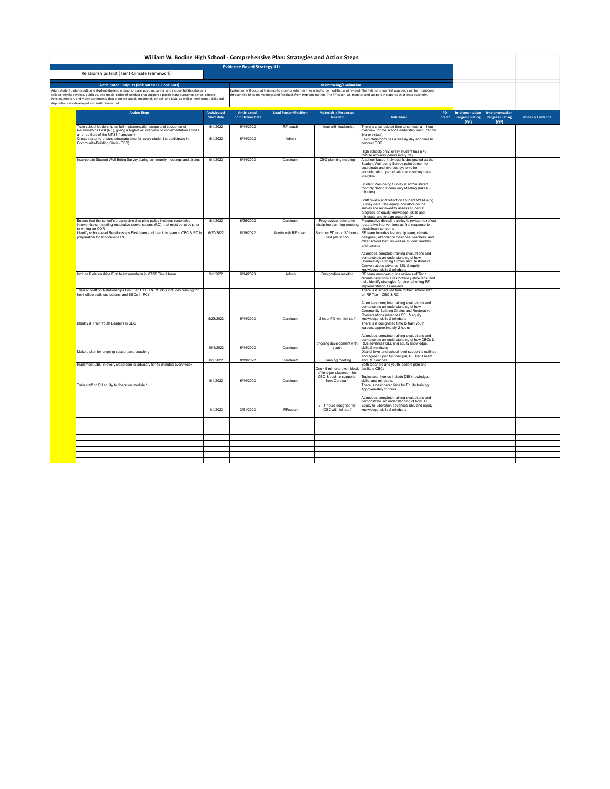|                                    | William W. Bodine High School - Comprehensive Plan: Strategies and Action Steps                                                                                                                                                        |                   |                        |                              |                                                                                  |                                                                                                                                                                                                                                                                                        |           |                                                |                |                             |
|------------------------------------|----------------------------------------------------------------------------------------------------------------------------------------------------------------------------------------------------------------------------------------|-------------------|------------------------|------------------------------|----------------------------------------------------------------------------------|----------------------------------------------------------------------------------------------------------------------------------------------------------------------------------------------------------------------------------------------------------------------------------------|-----------|------------------------------------------------|----------------|-----------------------------|
| <b>Evidence Based Strategy #1:</b> |                                                                                                                                                                                                                                        |                   |                        |                              |                                                                                  |                                                                                                                                                                                                                                                                                        |           |                                                |                |                             |
|                                    | Relationships First (Tier I Climate Framework)                                                                                                                                                                                         |                   |                        |                              |                                                                                  |                                                                                                                                                                                                                                                                                        |           |                                                |                |                             |
|                                    | <b>Anticipated Outputs (link out to EP Look Fors)</b>                                                                                                                                                                                  |                   |                        | <b>Monitoring/Evaluation</b> |                                                                                  |                                                                                                                                                                                                                                                                                        |           |                                                |                |                             |
|                                    | Adult-student, adult-adult, and student-student interactions are positive, caring, and respectful.Stakeholders<br>collaboratively develop, publicize, and model codes of conduct that support a positive and sustained school climate. |                   |                        |                              |                                                                                  | Evaluation will occur at trainings to monitor whether they need to be modified and revised. The Relationships First approach will be monitored<br>hrough the RF team meetings and feedback from implementation. The RF coach will monitor and support the approach at least quarterly. |           |                                                |                |                             |
|                                    | Policies, mission, and vision statements that promote social, emotional, ethical, and civic, as well as intellectual, skills and<br>dispositions are developed and institutionalized.                                                  |                   |                        |                              |                                                                                  |                                                                                                                                                                                                                                                                                        |           |                                                |                |                             |
|                                    | <b>Action Steps</b>                                                                                                                                                                                                                    | Anticipated       | Anticipated            | <b>Lead Person/Position</b>  | <b>Materials / Resources</b>                                                     |                                                                                                                                                                                                                                                                                        | <b>PD</b> | <b>Implementation</b>                          | Implementation |                             |
|                                    |                                                                                                                                                                                                                                        | <b>Start Date</b> | <b>Completion Date</b> |                              | <b>Needed</b>                                                                    | Indicators                                                                                                                                                                                                                                                                             | Step?     | <b>Progress Rating Progress Rating</b><br>(Q1) | (Q2)           | <b>Notes &amp; Evidence</b> |
|                                    | Train school leadership on full implementation scope and sequence of<br>Relationships First (RF), giving a high-level overview of implementation across<br>all three tiers of the MTSS framework                                       | 5/1/2022          | 6/14/2022              | RF coach                     | 1 hour with leadership                                                           | There is a scheduled time to conduct a 1-hour<br>overview for the school leadership team (can be<br>live or virtual).                                                                                                                                                                  |           |                                                |                |                             |
|                                    | Create roster to ensure adequate time for every student to participate in<br>Community-Building Circle (CBC)                                                                                                                           | 5/1/2022          | 6/14/2022              | Admin                        |                                                                                  | Each classroom has a weekly day and time to<br>conduct CBC                                                                                                                                                                                                                             |           |                                                |                |                             |
|                                    |                                                                                                                                                                                                                                        |                   |                        |                              |                                                                                  | High schools only: every student has a 45<br>minute advisory period every day                                                                                                                                                                                                          |           |                                                |                |                             |
|                                    | Incorporate Student Well-Being Survey during community meetings and circles.                                                                                                                                                           | 9/1/2022          | 6/14/2023              | Careteam                     | CBC planning meeting                                                             | A school-based individual is designated as the<br>Student Well-being Survey point person to<br>coordinate and oversee systems for<br>administration, participation and survey data<br>analysis                                                                                         |           |                                                |                |                             |
|                                    |                                                                                                                                                                                                                                        |                   |                        |                              |                                                                                  | Student Well-being Survey is administered<br>monthly during Community Meeting (takes 5<br>minutes)                                                                                                                                                                                     |           |                                                |                |                             |
|                                    |                                                                                                                                                                                                                                        |                   |                        |                              |                                                                                  | Staff review and reflect on Student Well-Being<br>Survey data. The equity indicators on the<br>survey are reviewed to assess students'<br>progress on equity knowledge, skills and<br>mindsets and to plan accordingly                                                                 |           |                                                |                |                             |
|                                    | Ensure that the school's progressive discipline policy includes restorative<br>interventions, including restorative conversations (RC), that must be used prior<br>to writing an ODR                                                   | 8/1/2022          | 8/26/2022              | Careteam                     | Progressive restorative<br>discipline planning meeting                           | Progressive discipline policy is revised to reflect<br>restorative interventions as first response to<br>disciplinary concerns                                                                                                                                                         |           |                                                |                |                             |
|                                    | Identify school-level Relationships First team and train this team in CBC & RC in<br>preparation for school-wide PD                                                                                                                    | 6/20/2022         | 8/19/2022              | Admin with RF coach          | Summer PD up to 30 hours<br>paid per school                                      | RF team includes leadership team, climate<br>designee, attendance designee, teachers, and<br>other school staff, as well as student leaders<br>and parents                                                                                                                             |           |                                                |                |                             |
|                                    |                                                                                                                                                                                                                                        |                   |                        |                              |                                                                                  | Attendees complete training evaluations and<br>demonstrate an understanding of how<br>Community-Building Circles and Restorative<br>Conversations advance SEL & equity<br>knowledge, skills & mindsets                                                                                 |           |                                                |                |                             |
|                                    | Include Relationships First team members in MTSS Tier 1 team                                                                                                                                                                           | 9/1/2022          | 6/14/2023              | Admin                        | Designation meeting                                                              | RF team members guide reviews of Tier 1<br>climate data from a restorative justice lens, and<br>help identify strategies for strengthening RF<br>implementation as needed                                                                                                              |           |                                                |                |                             |
|                                    | Train all staff on Relationships First Tier 1 CBC & RC (this includes training for<br>front-office staff, custodians, and SSOs in RC)                                                                                                  |                   |                        |                              |                                                                                  | There is a scheduled time to train school staff<br>on RF Tier 1 CBC & RC<br>Attendees complete training evaluations and                                                                                                                                                                |           |                                                |                |                             |
|                                    |                                                                                                                                                                                                                                        | 8/23/2022         | 6/14/2023              | Careteam                     | 2-hour PD with full staff                                                        | demonstrate an understanding of how<br>Community-Building Circles and Restorative<br>Conversations advances SEL & equity<br>knowledge, skills & mindsets                                                                                                                               |           |                                                |                |                             |
|                                    | Identify & Train Youth Leaders in CBC                                                                                                                                                                                                  |                   |                        |                              |                                                                                  | There is a designated time to train youth<br>leaders, approximately 2 hours                                                                                                                                                                                                            |           |                                                |                |                             |
|                                    |                                                                                                                                                                                                                                        | 10/1/2022         | 6/14/2023              | Careteam                     | ongoing development with<br>youth                                                | Attendees complete training evaluations and<br>demonstrate an understanding of how CBCs &<br>RCs advances SEL and equity knowledge,<br>skills & mindsets                                                                                                                               |           |                                                |                |                             |
|                                    | Make a plan for ongoing support and coaching                                                                                                                                                                                           | 8/1/2022          | 8/19/2022              | Careteam                     | Planning meeting                                                                 | District level and school-level support is outlined<br>and agreed upon by principal, RF Tier 1 team<br>and RF coaches                                                                                                                                                                  |           |                                                |                |                             |
|                                    | Implement CBC in every classroom or advisory for 45 minutes every week                                                                                                                                                                 |                   |                        |                              | One 45 min unbroken block<br>of time per classroom for<br>CBC & push-in supports | Both teachers and youth leaders plan and<br>facilitate CBCs.<br>Topics and themes include DEI knowledge,                                                                                                                                                                               |           |                                                |                |                             |
|                                    | Train staff on RJ equity to liberation module 1                                                                                                                                                                                        | 9/1/2022          | 6/14/2023              | Careteam                     | from Careteam                                                                    | skills, and mindsets.<br>There is designated time for Equity training,<br>approximately 2 hours                                                                                                                                                                                        |           |                                                |                |                             |
|                                    |                                                                                                                                                                                                                                        |                   |                        |                              | 2 - 4 hours designed for                                                         | Attendees complete training evaluations and<br>demonstrate an understanding of how RJ<br>Equity to Liberation advances SEL and equity                                                                                                                                                  |           |                                                |                |                             |
|                                    |                                                                                                                                                                                                                                        | 1/1/2023          | 3/31/2023              | RFcoach                      | CBC with full staff                                                              | knowledge, skills & mindsets                                                                                                                                                                                                                                                           |           |                                                |                |                             |
|                                    |                                                                                                                                                                                                                                        |                   |                        |                              |                                                                                  |                                                                                                                                                                                                                                                                                        |           |                                                |                |                             |
|                                    |                                                                                                                                                                                                                                        |                   |                        |                              |                                                                                  |                                                                                                                                                                                                                                                                                        |           |                                                |                |                             |
|                                    |                                                                                                                                                                                                                                        |                   |                        |                              |                                                                                  |                                                                                                                                                                                                                                                                                        |           |                                                |                |                             |
|                                    |                                                                                                                                                                                                                                        |                   |                        |                              |                                                                                  |                                                                                                                                                                                                                                                                                        |           |                                                |                |                             |
|                                    |                                                                                                                                                                                                                                        |                   |                        |                              |                                                                                  |                                                                                                                                                                                                                                                                                        |           |                                                |                |                             |
|                                    |                                                                                                                                                                                                                                        |                   |                        |                              |                                                                                  |                                                                                                                                                                                                                                                                                        |           |                                                |                |                             |
|                                    |                                                                                                                                                                                                                                        |                   |                        |                              |                                                                                  |                                                                                                                                                                                                                                                                                        |           |                                                |                |                             |